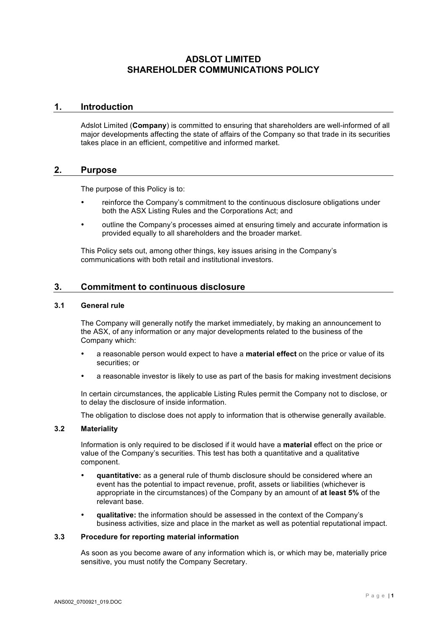# **ADSLOT LIMITED SHAREHOLDER COMMUNICATIONS POLICY**

## **1. Introduction**

Adslot Limited (**Company**) is committed to ensuring that shareholders are well-informed of all major developments affecting the state of affairs of the Company so that trade in its securities takes place in an efficient, competitive and informed market.

## **2. Purpose**

The purpose of this Policy is to:

- reinforce the Company's commitment to the continuous disclosure obligations under both the ASX Listing Rules and the Corporations Act; and
- outline the Company's processes aimed at ensuring timely and accurate information is provided equally to all shareholders and the broader market.

This Policy sets out, among other things, key issues arising in the Company's communications with both retail and institutional investors.

## **3. Commitment to continuous disclosure**

### **3.1 General rule**

The Company will generally notify the market immediately, by making an announcement to the ASX, of any information or any major developments related to the business of the Company which:

- a reasonable person would expect to have a **material effect** on the price or value of its securities; or
- a reasonable investor is likely to use as part of the basis for making investment decisions

In certain circumstances, the applicable Listing Rules permit the Company not to disclose, or to delay the disclosure of inside information.

The obligation to disclose does not apply to information that is otherwise generally available.

### **3.2 Materiality**

Information is only required to be disclosed if it would have a **material** effect on the price or value of the Company's securities. This test has both a quantitative and a qualitative component.

- **quantitative:** as a general rule of thumb disclosure should be considered where an event has the potential to impact revenue, profit, assets or liabilities (whichever is appropriate in the circumstances) of the Company by an amount of **at least 5%** of the relevant base.
- **qualitative:** the information should be assessed in the context of the Company's business activities, size and place in the market as well as potential reputational impact.

### **3.3 Procedure for reporting material information**

As soon as you become aware of any information which is, or which may be, materially price sensitive, you must notify the Company Secretary.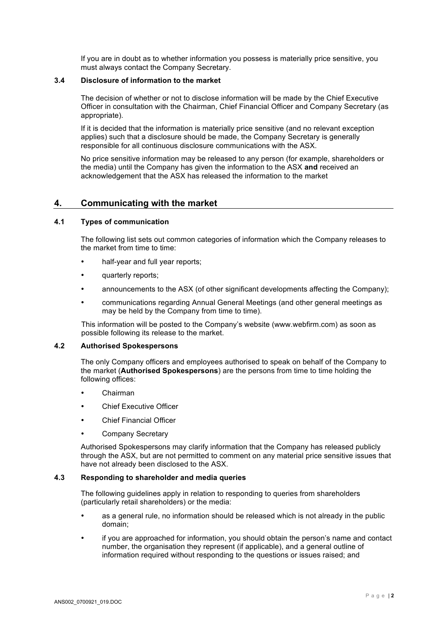If you are in doubt as to whether information you possess is materially price sensitive, you must always contact the Company Secretary.

## **3.4 Disclosure of information to the market**

The decision of whether or not to disclose information will be made by the Chief Executive Officer in consultation with the Chairman, Chief Financial Officer and Company Secretary (as appropriate).

If it is decided that the information is materially price sensitive (and no relevant exception applies) such that a disclosure should be made, the Company Secretary is generally responsible for all continuous disclosure communications with the ASX.

No price sensitive information may be released to any person (for example, shareholders or the media) until the Company has given the information to the ASX **and** received an acknowledgement that the ASX has released the information to the market

## **4. Communicating with the market**

## **4.1 Types of communication**

The following list sets out common categories of information which the Company releases to the market from time to time:

- half-year and full year reports:
- quarterly reports;
- announcements to the ASX (of other significant developments affecting the Company);
- communications regarding Annual General Meetings (and other general meetings as may be held by the Company from time to time).

This information will be posted to the Company's website (www.webfirm.com) as soon as possible following its release to the market.

#### **4.2 Authorised Spokespersons**

The only Company officers and employees authorised to speak on behalf of the Company to the market (**Authorised Spokespersons**) are the persons from time to time holding the following offices:

- Chairman
- Chief Executive Officer
- **Chief Financial Officer**
- Company Secretary

Authorised Spokespersons may clarify information that the Company has released publicly through the ASX, but are not permitted to comment on any material price sensitive issues that have not already been disclosed to the ASX.

#### **4.3 Responding to shareholder and media queries**

The following guidelines apply in relation to responding to queries from shareholders (particularly retail shareholders) or the media:

- as a general rule, no information should be released which is not already in the public domain;
- if you are approached for information, you should obtain the person's name and contact number, the organisation they represent (if applicable), and a general outline of information required without responding to the questions or issues raised; and